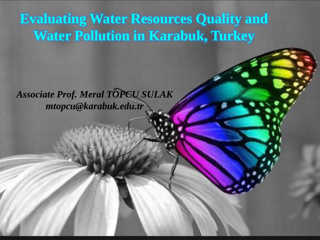#### **Evaluating Water Resources Quality and Water Pollution in Karabuk, Turkey**

*Associate Prof. Meral TOPCU SULAK mtopcu@karabuk.edu.tr*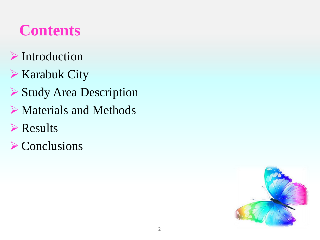### **Contents**

- Introduction
- **► Karabuk City**
- Study Area Description
- Materials and Methods
- **Example 3**
- $\triangleright$  Conclusions

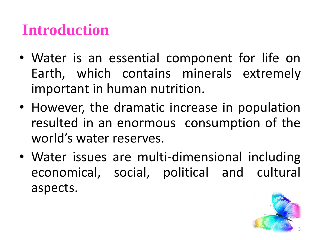## **Introduction**

- Water is an essential component for life on Earth, which contains minerals extremely important in human nutrition.
- However, the dramatic increase in population resulted in an enormous consumption of the world's water reserves.
- Water issues are multi-dimensional including economical, social, political and cultural aspects.

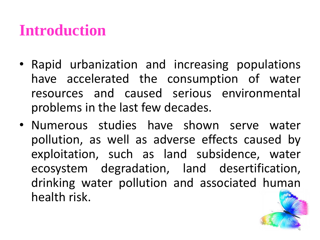#### **Introduction**

- Rapid urbanization and increasing populations have accelerated the consumption of water resources and caused serious environmental problems in the last few decades.
- Numerous studies have shown serve water pollution, as well as adverse effects caused by exploitation, such as land subsidence, water ecosystem degradation, land desertification, drinking water pollution and associated human health risk.

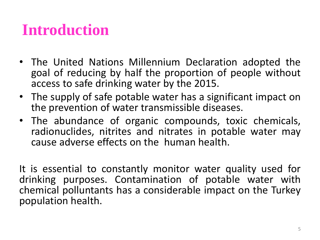### **Introduction**

- The United Nations Millennium Declaration adopted the goal of reducing by half the proportion of people without access to safe drinking water by the 2015.
- The supply of safe potable water has a significant impact on the prevention of water transmissible diseases.
- The abundance of organic compounds, toxic chemicals, radionuclides, nitrites and nitrates in potable water may cause adverse effects on the human health.

It is essential to constantly monitor water quality used for drinking purposes. Contamination of potable water with chemical polluntants has a considerable impact on the Turkey population health.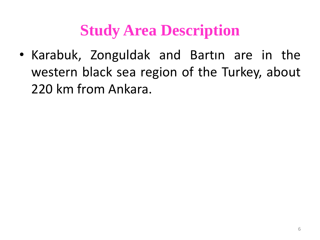### **Study Area Description**

• Karabuk, Zonguldak and Bartın are in the western black sea region of the Turkey, about 220 km from Ankara.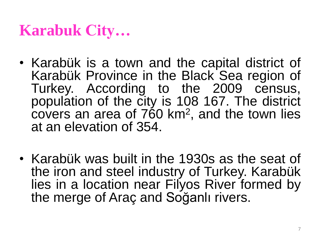# **Karabuk City…**

- Karabük is a town and the capital district of Karabük Province in the Black Sea region of Turkey. According to the 2009 census, population of the city is 108 167. The district covers an area of 760 km<sup>2</sup>, and the town lies at an elevation of 354.
- Karabük was built in the 1930s as the seat of the iron and steel industry of Turkey. Karabük lies in a location near Filyos River formed by the merge of Araç and Soğanlı rivers.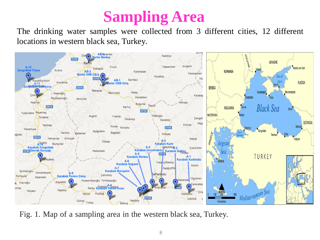#### **Sampling Area**

The drinking water samples were collected from 3 different cities, 12 different locations in western black sea, Turkey.



Fig. 1. Map of a sampling area in the western black sea, Turkey.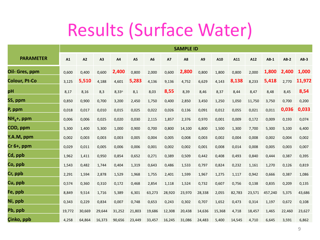# Results (Surface Water)

|                      | <b>SAMPLE ID</b> |        |        |                |        |                |           |        |                |        |        |        |         |        |        |
|----------------------|------------------|--------|--------|----------------|--------|----------------|-----------|--------|----------------|--------|--------|--------|---------|--------|--------|
| <b>PARAMETER</b>     | A1               | A2     | A3     | A4             | A5     | A <sub>6</sub> | <b>A7</b> | A8     | A <sub>9</sub> | A10    | A11    | A12    | $AB-1$  | $AB-2$ | $AB-3$ |
| Oil- Gres, ppm       | 0,600            | 0,400  | 0,600  | 2,400          | 0,800  | 2,000          | 0,600     | 2,800  | 0,800          | 1,800  | 0,800  | 2,000  | 1,800   | 2,400  | 1,000  |
| <b>Colour, Pt-Co</b> | 3,125            | 5,510  | 4,188  | 4,601          | 5,283  | 4,136          | 9,136     | 4,752  | 6,629          | 4,143  | 8,138  | 8,233  | 5,418   | 2,770  | 11,972 |
| pН                   | 8,17             | 8,16   | 8,3    | $8,33^{\circ}$ | 8,1    | 8,03           | 8,55      | 8,39   | 8,46           | 8,37   | 8,44   | 8,47   | 8,48    | 8,45   | 8,54   |
| SS, ppm              | 0,850            | 0,900  | 0,700  | 3,200          | 2,450  | 1,750          | 0,400     | 2,850  | 3,450          | 1,250  | 1,050  | 11,750 | 3,750   | 0,700  | 0,200  |
| P, ppm               | 0,018            | 0,017  | 0,010  | 0,015          | 0,025  | 0,022          | 0,026     | 0,136  | 0,091          | 0,012  | 0,055  | 0,021  | 0,011   | 0,036  | 0,033  |
| $NH4+$ , ppm         | 0,006            | 0,006  | 0,025  | 0,020          | 0,030  | 2,115          | 1,857     | 2,376  | 0,970          | 0,001  | 0,009  | 0,172  | 0,009   | 0,193  | 0,074  |
| COD, ppm             | 5,300            | 1,400  | 5,300  | 1,000          | 0,900  | 0,700          | 0,800     | 14,100 | 6,800          | 1,500  | 1,300  | 7,700  | 5,300   | 5,100  | 6,400  |
| Y.A.M, ppm           | 0,002            | 0,003  | 0,003  | 0,003          | 0,005  | 0,004          | 0,005     | 0,008  | 0,003          | 0,002  | 0,004  | 0,008  | 0,002   | 0,004  | 0,002  |
| $Cr6+, ppm$          | 0,029            | 0,011  | 0,005  | 0,006          | 0,006  | 0,001          | 0,002     | 0,002  | 0,001          | 0,008  | 0,014  | 0,008  | 0,005   | 0,003  | 0,007  |
| Cd, ppb              | 1,962            | 1,411  | 0,950  | 0,854          | 0,652  | 0,271          | 0,389     | 0,509  | 0,442          | 0,408  | 0,493  | 0,840  | 0,444   | 0,387  | 0,395  |
| Co, ppb              | 1,543            | 0,482  | 1,744  | 0,404          | 1,319  | 0,643          | 0,486     | 1,533  | 0,797          | 0,824  | 0,232  | 1,161  | 1,270   | 0,126  | 0,819  |
| Cr, ppb              | 2,291            | 1,594  | 2,878  | 1,529          | 1,968  | 1,755          | 2,401     | 1,599  | 1,967          | 1,275  | 1,117  | 0,942  | 0,666   | 0,387  | 1,086  |
| Cu, ppb              | 0,574            | 0,360  | 0,310  | 0,172          | 0,468  | 2,854          | 1,118     | 1,524  | 0,732          | 0,607  | 0,756  | 0,138  | 0,835   | 0,209  | 0,135  |
| Fe, ppb              | 8,849            | 9,514  | 1,716  | 5,389          | 6,301  | 63,273         | 28,920    | 23,970 | 28,338         | 2,055  | 82,783 | 23,571 | 457,240 | 5,375  | 43,686 |
| Ni, ppb              | 0,343            | 0,229  | 0,834  | 0,007          | 0,748  | 0,653          | 0,243     | 0,302  | 0,707          | 1,652  | 0,473  | 0,314  | 1,197   | 0,672  | 0,108  |
| Pb, ppb              | 19,772           | 30,669 | 29,644 | 31,252         | 21,803 | 19,686         | 12,308    | 20,438 | 14,636         | 15,368 | 4,718  | 18,457 | 1,465   | 22,460 | 23,627 |
| Çinko, ppb           | 4,258            | 64,864 | 16,373 | 90,656         | 23,449 | 33,457         | 16,245    | 31,086 | 24,483         | 5,400  | 14,545 | 4,710  | 6,645   | 3,591  | 6,862  |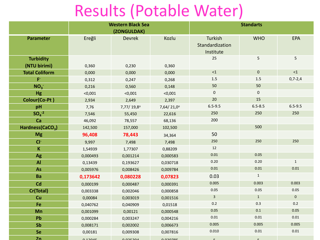# Results (Potable Water)

|                              |          | <b>Western Black Sea</b> |                 | <b>Standarts</b> |              |              |  |  |
|------------------------------|----------|--------------------------|-----------------|------------------|--------------|--------------|--|--|
|                              |          | (ZONGULDAK)              |                 |                  |              |              |  |  |
| <b>Parameter</b>             | Ereğli   | <b>Devrek</b>            | Kozlu           | Turkish          | <b>WHO</b>   | EPA          |  |  |
|                              |          |                          |                 | Standardization  |              |              |  |  |
|                              |          |                          |                 | Institute        |              |              |  |  |
| <b>Turbidity</b>             |          |                          |                 | 25               | 5            | 5            |  |  |
| (NTU birimi)                 | 0,360    | 0,230                    | 0,360           |                  |              |              |  |  |
| <b>Total Coliform</b>        | 0,000    | 0,000                    | 0,000           | ${<}1$           | $\mathbf 0$  | $<1$         |  |  |
| $\mathsf{F}^*$               | 0,312    | 0,247                    | 0,268           | 1.5              | 1.5          | $0,7-2,4$    |  |  |
| NO <sub>3</sub>              | 0,216    | 0,560                    | 0,148           | 50               | 50           |              |  |  |
| <b>Hg</b>                    | < 0,001  | < 0,001                  | < 0,001         | $\pmb{0}$        | $\mathbf 0$  |              |  |  |
| Colour(Co-Pt)                | 2,934    | 2,649                    | 2,397           | 20               | 15           |              |  |  |
| pH                           | 7,76     | 7,77/19,8°               | 7,64/21,0°      | $6.5 - 9.5$      | $6.5 - 8.5$  | $6.5 - 9.5$  |  |  |
| $SO4-2$                      | 7,546    | 55,450                   | 22,616          | 250              | 250          | 250          |  |  |
| Ca                           | 46,092   | 78,557                   | 68,136          | 200              |              |              |  |  |
| Hardness(CaCO <sub>3</sub> ) | 142,500  | 157,000                  | 102,500         |                  | 500          |              |  |  |
| <b>Mg</b>                    | 96,408   | 78,443                   | 34,364          | 50               |              |              |  |  |
| $CI^-$                       | 9,997    | 7,498                    | 7,498           | 250              | 250          | 250          |  |  |
| $\mathsf K$                  | 1,54939  | 1,77307                  | 0,88209         | 12               |              |              |  |  |
| Ag                           | 0,000493 | 0,001214                 | 0,000583        | $0.01\,$         | 0.05         |              |  |  |
| <b>Al</b>                    | 0,13439  | 0,193627                 | 0,030718        | 0.20             | 0.20         | $\mathbf{1}$ |  |  |
| As                           | 0,005976 | 0,008426                 | 0,009784        | $0.01\,$         | $0.01\,$     | $0.01\,$     |  |  |
| Ba                           | 0,173642 | 0,080228                 | 0,07823         | 0.03             | $\mathbf 1$  |              |  |  |
| Cd                           | 0,000199 | 0,000487                 | 0,000391        | 0.005            | 0.003        | 0.003        |  |  |
| Cr(Total)                    | 0,003338 | 0,002046                 | 0,000858        | $0.05\,$         | 0.05         | $0.05\,$     |  |  |
| Cu                           | 0,00084  | 0,003019                 | 0,001516        | $\overline{3}$   | $\mathbf{1}$ | $\mathbf 0$  |  |  |
| Fe                           | 0,040762 | 0,040909                 | 0,01518         | 0.2              | 0.3          | 0.2          |  |  |
| Mn                           | 0,001099 | 0,00121                  | 0,000548        | 0.05             | 0.1          | 0.05         |  |  |
| Pb                           | 0,000284 | 0,003247                 | 0,004216        | $0.01\,$         | 0.01         | $0.01\,$     |  |  |
| Sb                           | 0,008171 | 0,002002                 | 0,006673        | 0.005            | 0.005        | 0.005        |  |  |
| <b>Se</b>                    | 0,00181  | 0,009308                 | 0,007816        | 0.010            | $0.01\,$     | $0.01\,$     |  |  |
| $\mathbf{Zn}$                | 0.1204E  | 0.035304                 | <u>A AJAJOE</u> |                  |              |              |  |  |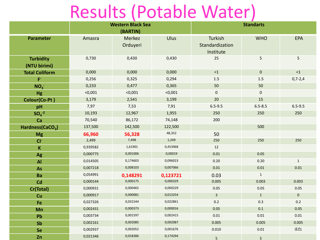# Results (Potable Water)

|                                  |          | <b>Western Black Sea</b><br>(BARTIN) |          | <b>Standarts</b>                        |              |              |  |
|----------------------------------|----------|--------------------------------------|----------|-----------------------------------------|--------------|--------------|--|
| Parameter                        | Amasra   | Merkez<br>Orduyeri                   | Ulus     | Turkish<br>Standardization<br>Institute | <b>WHO</b>   | <b>EPA</b>   |  |
| <b>Turbidity</b><br>(NTU birimi) | 0,730    | 0,430                                | 0,430    | 25                                      | 5            | 5            |  |
| <b>Total Coliform</b>            | 0,000    | 0,000                                | 0,000    | $<1$                                    | $\mathbf 0$  | ${<}1$       |  |
| $\mathsf{F}^*$                   | 0,256    | 0,325                                | 0,294    | $1.5\,$                                 | $1.5\,$      | $0,7-2,4$    |  |
| NO <sub>3</sub>                  | 0,233    | 0,477                                | 0,365    | 50                                      | 50           |              |  |
| Hg                               | < 0,001  | < 0,001                              | < 0,001  | $\mathbf 0$                             | $\mathbf 0$  |              |  |
| Colour(Co-Pt)                    | 3,179    | 2,541                                | 3,199    | 20                                      | 15           |              |  |
| pH                               | 7,97     | 7,53                                 | 7,91     | $6.5 - 9.5$                             | $6.5 - 8.5$  | $6.5 - 9.5$  |  |
| $SOa-2$                          | 10,193   | 12,967                               | 1,955    | 250                                     | 250          | 250          |  |
| Ca                               | 70,540   | 86,172                               | 74,148   | 200                                     |              |              |  |
| Hardness(CaCO <sub>3</sub> )     | 137,500  | 142,500                              | 122,500  |                                         | 500          |              |  |
| <b>Mg</b>                        | 66,960   | 56,328                               | 48,352   | 50                                      |              |              |  |
| $CI^-$                           | 2,499    | 7,498                                | 1,249    | 250                                     | 250          | 250          |  |
| $\mathsf K$                      | 0,939582 | 1,61901                              | 0,453968 | 12                                      |              |              |  |
| Ag                               | 0,000775 | 0,001006                             | 0,00019  | 0.01                                    | 0.05         |              |  |
| <b>Al</b>                        | 0,014505 | 0,174603                             | 0,096023 | 0.20                                    | 0.20         | $\mathbf{1}$ |  |
| As                               | 0,007218 | 0,008103                             | 0,007066 | $0.01\,$                                | $0.01\,$     | 0.01         |  |
| Ba                               | 0,054991 | 0,148291                             | 0,123721 | 0.03                                    | $\mathbf{1}$ |              |  |
| Cd                               | 0,000144 | 0,000175                             | 0,000329 | 0.005                                   | 0.003        | 0.003        |  |
| Cr(Total)                        | 0,000931 | 0,000465                             | 0,000229 | 0.05                                    | 0.05         | 0.05         |  |
| Cu                               | 0,000917 | 0,000081                             | 0,013254 | $\overline{3}$                          | $\mathbf{1}$ | $\mathbf{0}$ |  |
| Fe                               | 0,027326 | 0,031544                             | 0,022861 | 0.2                                     | 0.3          | 0.2          |  |
| Mn                               | 0,002431 | 0,000373                             | 0,000016 | 0.05                                    | 0.1          | 0.05         |  |
| Pb                               | 0,003734 | 0,001597                             | 0,002415 | $0.01\,$                                | $0.01\,$     | 0.01         |  |
| Sb                               | 0,002161 | 0,002085                             | 0,002087 | 0.005                                   | 0.005        | 0.005        |  |
| Se                               | 0,002937 | 0,002052                             | 0,001676 | 0.010                                   | $0.01\,$     | dd1          |  |
| Zn                               | 0,021346 | 0,018386                             | 0,174294 | $5\phantom{.0}$                         | 5            |              |  |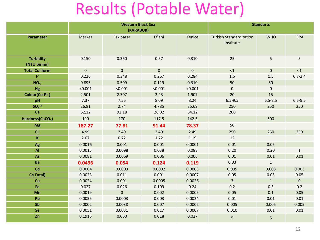### Results (Potable Water)

|                                  |             | <b>Western Black Sea</b> |              | <b>Standarts</b> |                                             |              |                |
|----------------------------------|-------------|--------------------------|--------------|------------------|---------------------------------------------|--------------|----------------|
|                                  |             | (KARABUK)                |              |                  |                                             |              |                |
| Parameter                        | Merkez      | Eskipazar                | Eflani       | Yenice           | <b>Turkish Standardization</b><br>Institute | <b>WHO</b>   | EPA            |
| <b>Turbidity</b><br>(NTU birimi) | 0.150       | 0.360                    | 0.57         | 0.310            | 25                                          | 5            | 5              |
| <b>Total Coliform</b>            | $\mathbf 0$ | $\mathbf{0}$             | $\mathbf{0}$ | $\mathbf{0}$     | $\leq 1$                                    | $\mathbf{0}$ | $\leq 1$       |
| $\mathsf{F}^{\mathsf{c}}$        | 0.226       | 0.348                    | 0.267        | 0.284            | $1.5\,$                                     | 1.5          | $0,7-2,4$      |
| NO <sub>3</sub>                  | 0.895       | 0.509                    | 0.119        | 0.310            | 50                                          | 50           |                |
| Hg                               | < 0.001     | < 0.001                  | < 0.001      | < 0.001          | $\mathbf 0$                                 | $\pmb{0}$    |                |
| Colour(Co-Pt)                    | 2.501       | 2.307                    | 2.23         | 1.907            | 20                                          | 15           |                |
| pH                               | 7.37        | 7.55                     | 8.09         | 8.24             | $6.5 - 9.5$                                 | $6.5 - 8.5$  | $6.5 - 9.5$    |
| $SO4-2$                          | 26.81       | 2.74                     | 4.785        | 35,69            | 250                                         | 250          | 250            |
| Ca                               | 62.12       | 92.18                    | 26.02        | 64.12            | 200                                         |              |                |
| Hardness(CaCO <sub>3</sub> )     | 190         | 170                      | 117.5        | 142.5            |                                             | 500          |                |
| <b>Mg</b>                        | 187.27      | 77.81                    | 91.44        | 78.37            | 50                                          |              |                |
| $CI^-$                           | 4.99        | 2.49                     | 2.49         | 2.49             | 250                                         | 250          | 250            |
| $\mathsf K$                      | 2.07        | 0.72                     | 1.72         | 1.19             | 12                                          |              |                |
| Ag                               | 0.0016      | 0.001                    | 0.001        | 0.0001           | 0.01                                        | 0.05         |                |
| Al                               | 0.0015      | 0.0098                   | 0.038        | 0.088            | 0.20                                        | 0.20         | $\mathbf{1}$   |
| $\mathbf{A}\mathbf{s}$           | 0.0081      | 0.0069                   | 0.006        | 0.006            | $0.01\,$                                    | 0.01         | $0.01\,$       |
| Ba                               | 0.0496      | 0.054                    | 0.124        | 0.119            | 0.03                                        | $\mathbf{1}$ |                |
| Cd                               | 0.0004      | 0.0003                   | 0.0002       | 0.0003           | 0.005                                       | 0.003        | 0.003          |
| Cr(Total)                        | 0.0023      | 0.011                    | 0.001        | 0.0007           | 0.05                                        | 0.05         | 0.05           |
| Cu                               | 0.0024      | 0.001                    | 0.0005       | 0.0026           | $\overline{3}$                              | $\mathbf{1}$ | $\overline{0}$ |
| Fe                               | 0.027       | 0.026                    | 0.109        | 0.24             | 0.2                                         | 0.3          | 0.2            |
| Mn                               | 0.0019      | $\pmb{0}$                | 0.002        | 0.0005           | 0.05                                        | 0.1          | 0.05           |
| Pb                               | 0.0035      | 0.0003                   | 0.003        | 0.0024           | 0.01                                        | 0.01         | 0.01           |
| Sb                               | 0.0002      | 0.0038                   | 0.007        | 0.0002           | 0.005                                       | 0.005        | 0.005          |
| Se                               | 0.0051      | 0.0031                   | 0.017        | 0.0007           | 0.010                                       | 0.01         | 0.01           |
| Zn                               | 0.1915      | 0.060                    | 0.018        | 0.027            | 5                                           | 5            |                |